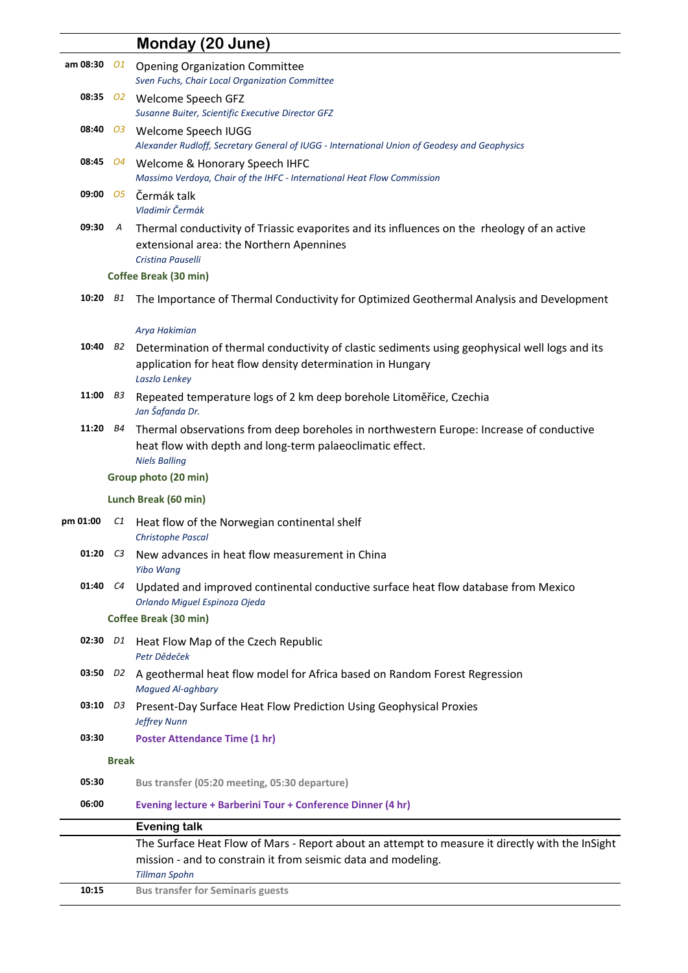|                        |              | Monday (20 June)                                                                                                                                                              |
|------------------------|--------------|-------------------------------------------------------------------------------------------------------------------------------------------------------------------------------|
| am 08:30               | 01           | <b>Opening Organization Committee</b><br>Sven Fuchs, Chair Local Organization Committee                                                                                       |
|                        |              | 08:35 02 Welcome Speech GFZ<br>Susanne Buiter, Scientific Executive Director GFZ                                                                                              |
|                        |              | 08:40 03 Welcome Speech IUGG<br>Alexander Rudloff, Secretary General of IUGG - International Union of Geodesy and Geophysics                                                  |
|                        |              | 08:45 04 Welcome & Honorary Speech IHFC<br>Massimo Verdoya, Chair of the IHFC - International Heat Flow Commission                                                            |
| $09:00$ $05$           |              | Čermák talk<br>Vladimír Čermák                                                                                                                                                |
| 09:30                  | A            | Thermal conductivity of Triassic evaporites and its influences on the rheology of an active<br>extensional area: the Northern Apennines<br>Cristina Pauselli                  |
|                        |              | Coffee Break (30 min)                                                                                                                                                         |
| 10:20                  | B1           | The Importance of Thermal Conductivity for Optimized Geothermal Analysis and Development                                                                                      |
|                        |              | Arya Hakimian                                                                                                                                                                 |
| 10:40 $B2$             |              | Determination of thermal conductivity of clastic sediments using geophysical well logs and its<br>application for heat flow density determination in Hungary<br>Laszlo Lenkey |
| 11:00 $B3$             |              | Repeated temperature logs of 2 km deep borehole Litoměřice, Czechia<br>Jan Šafanda Dr.                                                                                        |
| 11:20                  | B4           | Thermal observations from deep boreholes in northwestern Europe: Increase of conductive<br>heat flow with depth and long-term palaeoclimatic effect.<br><b>Niels Balling</b>  |
|                        |              | Group photo (20 min)                                                                                                                                                          |
|                        |              | Lunch Break (60 min)                                                                                                                                                          |
| pm 01:00               | C1           | Heat flow of the Norwegian continental shelf<br><b>Christophe Pascal</b>                                                                                                      |
| 01:20                  | C3           | New advances in heat flow measurement in China<br><b>Yibo Wang</b>                                                                                                            |
|                        |              | 01:40 C4 Updated and improved continental conductive surface heat flow database from Mexico<br>Orlando Miguel Espinoza Ojeda                                                  |
|                        |              | Coffee Break (30 min)                                                                                                                                                         |
| 02:30 D1               |              | Heat Flow Map of the Czech Republic<br>Petr Dědeček                                                                                                                           |
| $03:50$ D <sub>2</sub> |              | A geothermal heat flow model for Africa based on Random Forest Regression<br><b>Magued Al-aghbary</b>                                                                         |
| 03:10 D3               |              | Present-Day Surface Heat Flow Prediction Using Geophysical Proxies<br><b>Jeffrey Nunn</b>                                                                                     |
| 03:30                  |              | <b>Poster Attendance Time (1 hr)</b>                                                                                                                                          |
|                        | <b>Break</b> |                                                                                                                                                                               |
| 05:30                  |              | Bus transfer (05:20 meeting, 05:30 departure)                                                                                                                                 |
| 06:00                  |              | Evening lecture + Barberini Tour + Conference Dinner (4 hr)                                                                                                                   |
|                        |              | <b>Evening talk</b>                                                                                                                                                           |
|                        |              | The Surface Heat Flow of Mars - Report about an attempt to measure it directly with the InSight<br>mission - and to constrain it from seismic data and modeling.              |
|                        |              | <b>Tillman Spohn</b>                                                                                                                                                          |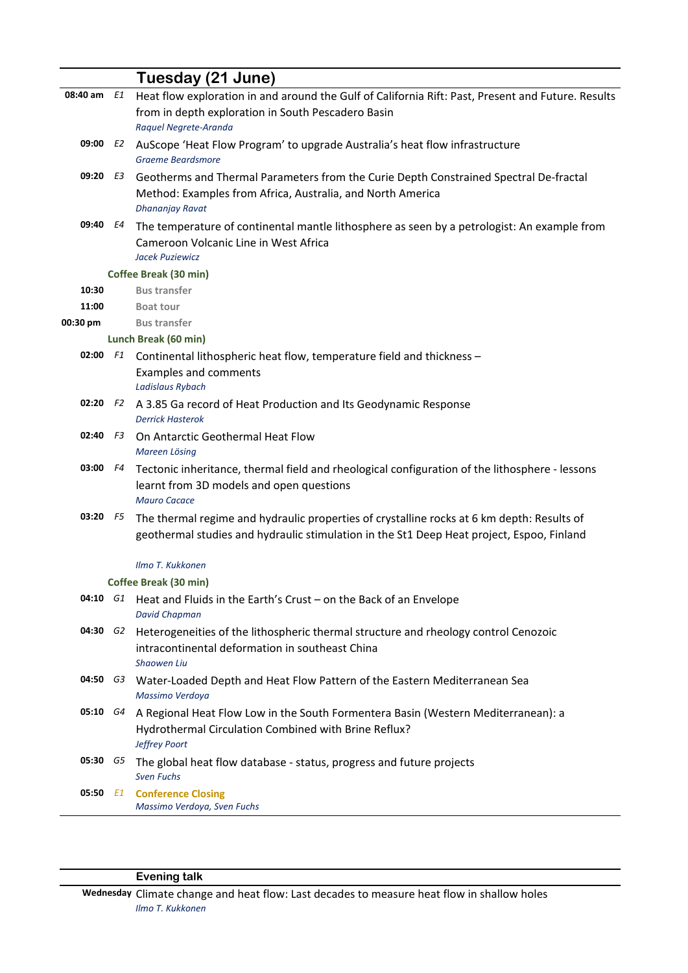|            |    | Tuesday (21 June)                                                                                  |
|------------|----|----------------------------------------------------------------------------------------------------|
| 08:40 am   | E1 | Heat flow exploration in and around the Gulf of California Rift: Past, Present and Future. Results |
|            |    | from in depth exploration in South Pescadero Basin                                                 |
|            |    | Raquel Negrete-Aranda                                                                              |
| 09:00      | E2 | AuScope 'Heat Flow Program' to upgrade Australia's heat flow infrastructure                        |
|            |    | <b>Graeme Beardsmore</b>                                                                           |
| 09:20 E3   |    | Geotherms and Thermal Parameters from the Curie Depth Constrained Spectral De-fractal              |
|            |    | Method: Examples from Africa, Australia, and North America                                         |
|            |    | <b>Dhananjay Ravat</b>                                                                             |
| 09:40      | E4 | The temperature of continental mantle lithosphere as seen by a petrologist: An example from        |
|            |    | Cameroon Volcanic Line in West Africa                                                              |
|            |    | Jacek Puziewicz                                                                                    |
|            |    | Coffee Break (30 min)                                                                              |
| 10:30      |    | <b>Bus transfer</b>                                                                                |
| 11:00      |    | <b>Boat tour</b>                                                                                   |
| 00:30 pm   |    | <b>Bus transfer</b>                                                                                |
|            |    | Lunch Break (60 min)                                                                               |
| 02:00 F1   |    | Continental lithospheric heat flow, temperature field and thickness -                              |
|            |    | <b>Examples and comments</b>                                                                       |
|            |    | <b>Ladislaus Rybach</b>                                                                            |
| 02:20      | F2 | A 3.85 Ga record of Heat Production and Its Geodynamic Response                                    |
|            |    | <b>Derrick Hasterok</b>                                                                            |
| $02:40$ F3 |    | On Antarctic Geothermal Heat Flow                                                                  |
|            |    | Mareen Lösing                                                                                      |
| 03:00      | F4 | Tectonic inheritance, thermal field and rheological configuration of the lithosphere - lessons     |
|            |    | learnt from 3D models and open questions                                                           |
|            |    | <b>Mauro Cacace</b>                                                                                |
| 03:20      | F5 | The thermal regime and hydraulic properties of crystalline rocks at 6 km depth: Results of         |
|            |    | geothermal studies and hydraulic stimulation in the St1 Deep Heat project, Espoo, Finland          |
|            |    | Ilmo T. Kukkonen                                                                                   |
|            |    | Coffee Break (30 min)                                                                              |
| 04:10 G1   |    | Heat and Fluids in the Earth's Crust - on the Back of an Envelope                                  |
|            |    | <b>David Chapman</b>                                                                               |
| 04:30 G2   |    | Heterogeneities of the lithospheric thermal structure and rheology control Cenozoic                |
|            |    | intracontinental deformation in southeast China                                                    |
|            |    | <b>Shaowen Liu</b>                                                                                 |
| 04:50 G3   |    | Water-Loaded Depth and Heat Flow Pattern of the Eastern Mediterranean Sea                          |
|            |    | Massimo Verdoya                                                                                    |
| 05:10 G4   |    | A Regional Heat Flow Low in the South Formentera Basin (Western Mediterranean): a                  |
|            |    | Hydrothermal Circulation Combined with Brine Reflux?                                               |
|            |    | Jeffrey Poort                                                                                      |
| 05:30 G5   |    | The global heat flow database - status, progress and future projects                               |
|            |    | <b>Sven Fuchs</b>                                                                                  |
|            |    | 05:50 E1 Conference Closing                                                                        |
|            |    | Massimo Verdoya, Sven Fuchs                                                                        |
|            |    |                                                                                                    |